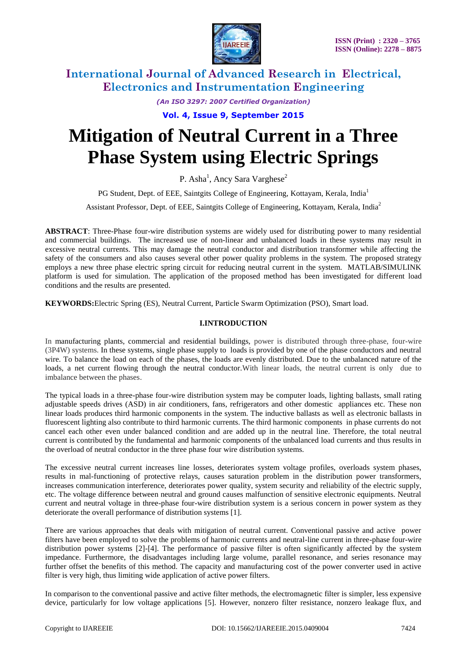

*(An ISO 3297: 2007 Certified Organization)*

**Vol. 4, Issue 9, September 2015**

# **Mitigation of Neutral Current in a Three Phase System using Electric Springs**

P. Asha<sup>1</sup>, Ancy Sara Varghese<sup>2</sup>

PG Student, Dept. of EEE, Saintgits College of Engineering, Kottayam, Kerala, India<sup>1</sup>

Assistant Professor, Dept. of EEE, Saintgits College of Engineering, Kottayam, Kerala, India<sup>2</sup>

**ABSTRACT**: Three-Phase four-wire distribution systems are widely used for distributing power to many residential and commercial buildings. The increased use of non-linear and unbalanced loads in these systems may result in excessive neutral currents. This may damage the neutral conductor and distribution transformer while affecting the safety of the consumers and also causes several other power quality problems in the system. The proposed strategy employs a new three phase electric spring circuit for reducing neutral current in the system. MATLAB/SIMULINK platform is used for simulation. The application of the proposed method has been investigated for different load conditions and the results are presented.

**KEYWORDS:**Electric Spring (ES), Neutral Current, Particle Swarm Optimization (PSO), Smart load.

### **I.INTRODUCTION**

In manufacturing plants, commercial and residential buildings, power is distributed through three-phase, four-wire (3P4W) systems. In these systems, single phase supply to loads is provided by one of the phase conductors and neutral wire. To balance the load on each of the phases, the loads are evenly distributed. Due to the unbalanced nature of the loads, a net current flowing through the neutral conductor.With linear loads, the neutral current is only due to imbalance between the phases.

The typical loads in a three-phase four-wire distribution system may be computer loads, lighting ballasts, small rating adjustable speeds drives (ASD) in air conditioners, fans, refrigerators and other domestic appliances etc. These non linear loads produces third harmonic components in the system. The inductive ballasts as well as electronic ballasts in fluorescent lighting also contribute to third harmonic currents. The third harmonic components in phase currents do not cancel each other even under balanced condition and are added up in the neutral line. Therefore, the total neutral current is contributed by the fundamental and harmonic components of the unbalanced load currents and thus results in the overload of neutral conductor in the three phase four wire distribution systems.

The excessive neutral current increases line losses, deteriorates system voltage profiles, overloads system phases, results in mal-functioning of protective relays, causes saturation problem in the distribution power transformers, increases communication interference, deteriorates power quality, system security and reliability of the electric supply, etc. The voltage difference between neutral and ground causes malfunction of sensitive electronic equipments. Neutral current and neutral voltage in three-phase four-wire distribution system is a serious concern in power system as they deteriorate the overall performance of distribution systems [1].

There are various approaches that deals with mitigation of neutral current. Conventional passive and active power filters have been employed to solve the problems of harmonic currents and neutral-line current in three-phase four-wire distribution power systems [2]-[4]. The performance of passive filter is often significantly affected by the system impedance. Furthermore, the disadvantages including large volume, parallel resonance, and series resonance may further offset the benefits of this method. The capacity and manufacturing cost of the power converter used in active filter is very high, thus limiting wide application of active power filters.

In comparison to the conventional passive and active filter methods, the electromagnetic filter is simpler, less expensive device, particularly for low voltage applications [5]. However, nonzero filter resistance, nonzero leakage flux, and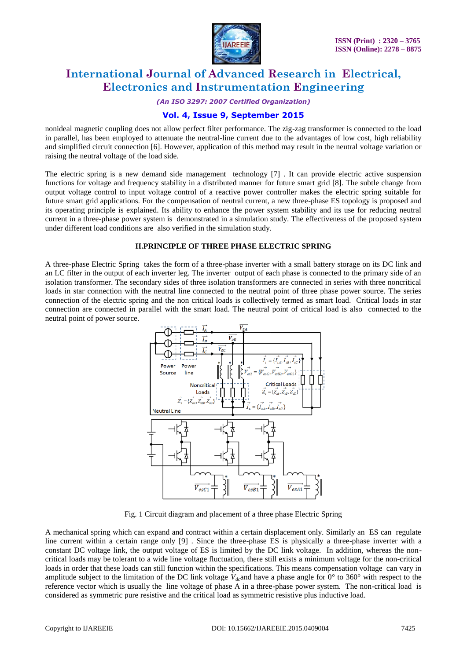

*(An ISO 3297: 2007 Certified Organization)*

### **Vol. 4, Issue 9, September 2015**

nonideal magnetic coupling does not allow perfect filter performance. The zig-zag transformer is connected to the load in parallel, has been employed to attenuate the neutral-line current due to the advantages of low cost, high reliability and simplified circuit connection [6]. However, application of this method may result in the neutral voltage variation or raising the neutral voltage of the load side.

The electric spring is a new demand side management technology [7] . It can provide electric active suspension functions for voltage and frequency stability in a distributed manner for future smart grid [8]. The subtle change from output voltage control to input voltage control of a reactive power controller makes the electric spring suitable for future smart grid applications. For the compensation of neutral current, a new three-phase ES topology is proposed and its operating principle is explained. Its ability to enhance the power system stability and its use for reducing neutral current in a three-phase power system is demonstrated in a simulation study. The effectiveness of the proposed system under different load conditions are also verified in the simulation study.

#### **II.PRINCIPLE OF THREE PHASE ELECTRIC SPRING**

A three-phase Electric Spring takes the form of a three-phase inverter with a small battery storage on its DC link and an LC filter in the output of each inverter leg. The inverter output of each phase is connected to the primary side of an isolation transformer. The secondary sides of three isolation transformers are connected in series with three noncritical loads in star connection with the neutral line connected to the neutral point of three phase power source. The series connection of the electric spring and the non critical loads is collectively termed as smart load. Critical loads in star connection are connected in parallel with the smart load. The neutral point of critical load is also connected to the neutral point of power source.



Fig. 1 Circuit diagram and placement of a three phase Electric Spring

A mechanical spring which can expand and contract within a certain displacement only. Similarly an ES can regulate line current within a certain range only [9] . Since the three-phase ES is physically a three-phase inverter with a constant DC voltage link, the output voltage of ES is limited by the DC link voltage. In addition, whereas the noncritical loads may be tolerant to a wide line voltage fluctuation, there still exists a minimum voltage for the non-critical loads in order that these loads can still function within the specifications. This means compensation voltage can vary in amplitude subject to the limitation of the DC link voltage *Vdc*and have a phase angle for 0° to 360° with respect to the reference vector which is usually the line voltage of phase A in a three-phase power system. The non-critical load is considered as symmetric pure resistive and the critical load as symmetric resistive plus inductive load.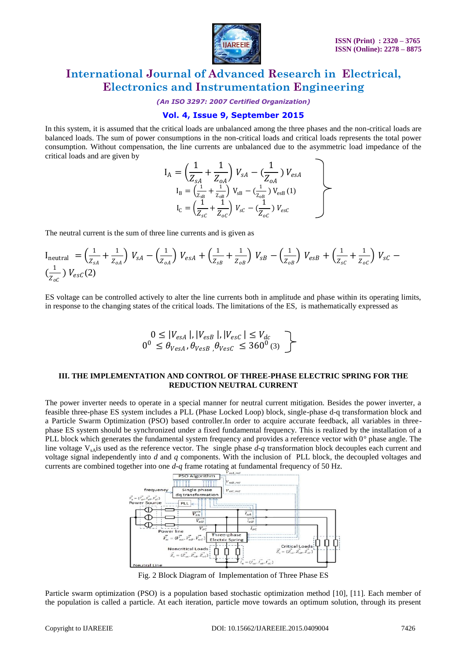

*(An ISO 3297: 2007 Certified Organization)*

### **Vol. 4, Issue 9, September 2015**

In this system, it is assumed that the critical loads are unbalanced among the three phases and the non-critical loads are balanced loads. The sum of power consumptions in the non-critical loads and critical loads represents the total power consumption. Without compensation, the line currents are unbalanced due to the asymmetric load impedance of the critical loads and are given by

$$
I_{A} = \left(\frac{1}{Z_{sA}} + \frac{1}{Z_{oA}}\right) V_{sA} - \left(\frac{1}{Z_{oA}}\right) V_{esA}
$$
  
\n
$$
I_{B} = \left(\frac{1}{Z_{sB}} + \frac{1}{Z_{oB}}\right) V_{sB} - \left(\frac{1}{Z_{oB}}\right) V_{esB} (1)
$$
  
\n
$$
I_{C} = \left(\frac{1}{Z_{sC}} + \frac{1}{Z_{oC}}\right) V_{sC} - \left(\frac{1}{Z_{oC}}\right) V_{esc}
$$

The neutral current is the sum of three line currents and is given as

$$
I_{\text{neutral}} = \left(\frac{1}{Z_{SA}} + \frac{1}{Z_{OA}}\right) V_{SA} - \left(\frac{1}{Z_{OA}}\right) V_{esA} + \left(\frac{1}{Z_{SB}} + \frac{1}{Z_{OB}}\right) V_{SB} - \left(\frac{1}{Z_{OB}}\right) V_{esB} + \left(\frac{1}{Z_{SC}} + \frac{1}{Z_{OC}}\right) V_{SC} - \left(\frac{1}{Z_{OC}}\right) V_{esc}(2)
$$

ES voltage can be controlled actively to alter the line currents both in amplitude and phase within its operating limits, in response to the changing states of the critical loads. The limitations of the ES, is mathematically expressed as

$$
\begin{array}{c}\n0 \le |V_{esA}|, |V_{esB}|, |V_{esc}| \le V_{dc} \\
0^0 \le \theta_{VesA}, \theta_{VesB}, \theta_{VesC} \le 360^0 \text{ (3)}\n\end{array}
$$

#### **III. THE IMPLEMENTATION AND CONTROL OF THREE-PHASE ELECTRIC SPRING FOR THE REDUCTION NEUTRAL CURRENT**

The power inverter needs to operate in a special manner for neutral current mitigation. Besides the power inverter, a feasible three-phase ES system includes a PLL (Phase Locked Loop) block, single-phase d-q transformation block and a Particle Swarm Optimization (PSO) based controller.In order to acquire accurate feedback, all variables in threephase ES system should be synchronized under a fixed fundamental frequency. This is realized by the installation of a PLL block which generates the fundamental system frequency and provides a reference vector with  $0^{\circ}$  phase angle. The line voltage  $V_{sA}$  is used as the reference vector. The single phase  $d-q$  transformation block decouples each current and voltage signal independently into *d* and *q* components. With the inclusion of PLL block, the decoupled voltages and currents are combined together into one *d-q* frame rotating at fundamental frequency of 50 Hz.



Fig. 2 Block Diagram of Implementation of Three Phase ES

Particle swarm optimization (PSO) is a population based stochastic optimization method [10], [11]. Each member of the population is called a particle. At each iteration, particle move towards an optimum solution, through its present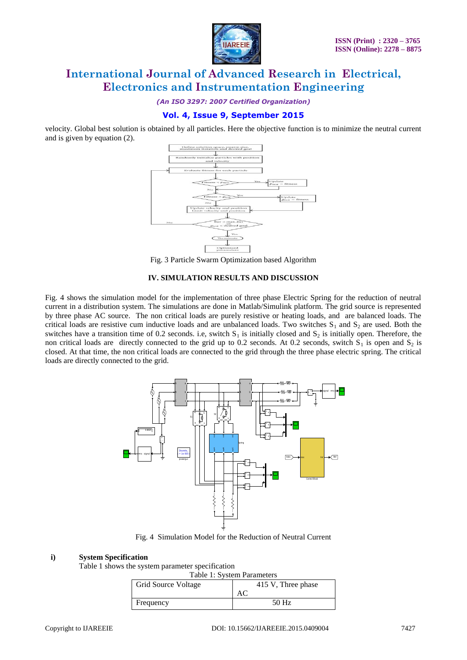

*(An ISO 3297: 2007 Certified Organization)*

### **Vol. 4, Issue 9, September 2015**

velocity. Global best solution is obtained by all particles. Here the objective function is to minimize the neutral current and is given by equation (2).



Fig. 3 Particle Swarm Optimization based Algorithm

#### **IV. SIMULATION RESULTS AND DISCUSSION**

Fig. 4 shows the simulation model for the implementation of three phase Electric Spring for the reduction of neutral current in a distribution system. The simulations are done in Matlab/Simulink platform. The grid source is represented by three phase AC source. The non critical loads are purely resistive or heating loads, and are balanced loads. The critical loads are resistive cum inductive loads and are unbalanced loads. Two switches  $S_1$  and  $S_2$  are used. Both the switches have a transition time of 0.2 seconds. i.e, switch  $S_1$  is initially closed and  $S_2$  is initially open. Therefore, the non critical loads are directly connected to the grid up to 0.2 seconds. At 0.2 seconds, switch  $S_1$  is open and  $S_2$  is closed. At that time, the non critical loads are connected to the grid through the three phase electric spring. The critical loads are directly connected to the grid.



Fig. 4 Simulation Model for the Reduction of Neutral Current

#### **i) System Specification**

Table 1 shows the system parameter specification

Table 1: System Parameters

| <b>Grid Source Voltage</b> | 415 V, Three phase |  |  |
|----------------------------|--------------------|--|--|
|                            | AC                 |  |  |
| Frequency                  | 50 Hz              |  |  |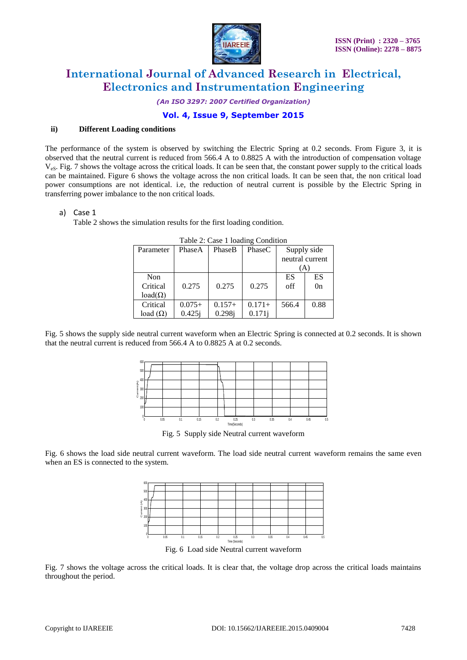

*(An ISO 3297: 2007 Certified Organization)*

### **Vol. 4, Issue 9, September 2015**

#### **ii) Different Loading conditions**

The performance of the system is observed by switching the Electric Spring at 0.2 seconds. From Figure 3, it is observed that the neutral current is reduced from 566.4 A to 0.8825 A with the introduction of compensation voltage  $V_{\text{eS}}$ . Fig. 7 shows the voltage across the critical loads. It can be seen that, the constant power supply to the critical loads can be maintained. Figure 6 shows the voltage across the non critical loads. It can be seen that, the non critical load power consumptions are not identical. i.e, the reduction of neutral current is possible by the Electric Spring in transferring power imbalance to the non critical loads.

#### a) Case 1

Table 2 shows the simulation results for the first loading condition.

| Parameter       | PhaseA    | PhaseB   | PhaseC   | Supply side<br>neutral current |                |
|-----------------|-----------|----------|----------|--------------------------------|----------------|
|                 |           |          |          | 'A`                            |                |
| Non             |           |          |          | ES                             | ES             |
| Critical        | 0.275     | 0.275    | 0.275    | off                            | 0 <sub>n</sub> |
| $load(\Omega)$  |           |          |          |                                |                |
| Critical        | $0.075+$  | $0.157+$ | $0.171+$ | 566.4                          | 0.88           |
| load $(\Omega)$ | $0.425$ j | 0.298j   | 0.171j   |                                |                |

Table 2: Case 1 loading Condition

Fig. 5 shows the supply side neutral current waveform when an Electric Spring is connected at 0.2 seconds. It is shown that the neutral current is reduced from 566.4 A to 0.8825 A at 0.2 seconds.



Fig. 5 Supply side Neutral current waveform

Fig. 6 shows the load side neutral current waveform. The load side neutral current waveform remains the same even when an ES is connected to the system.



Fig. 7 shows the voltage across the critical loads. It is clear that, the voltage drop across the critical loads maintains throughout the period.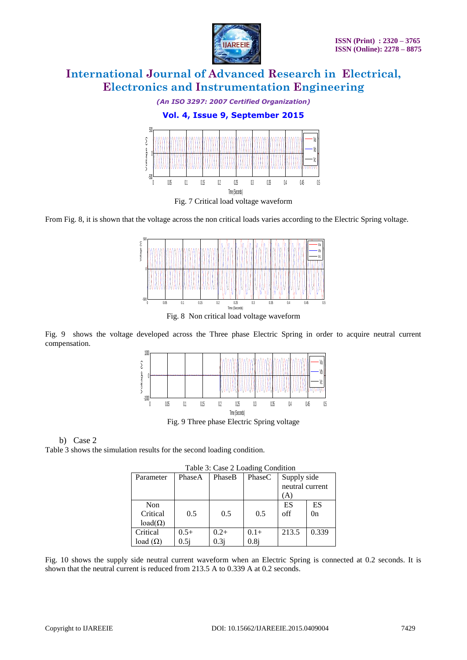

*(An ISO 3297: 2007 Certified Organization)*



From Fig. 8, it is shown that the voltage across the non critical loads varies according to the Electric Spring voltage.



Fig. 9 shows the voltage developed across the Three phase Electric Spring in order to acquire neutral current compensation.



Fig. 9 Three phase Electric Spring voltage

### b) Case 2 Table 3 shows the simulation results for the second loading condition.

| Table 5. Case 2 Loading Condition |        |         |         |                 |                |  |
|-----------------------------------|--------|---------|---------|-----------------|----------------|--|
| Parameter                         | PhaseA | PhaseB  | PhaseC  | Supply side     |                |  |
|                                   |        |         |         | neutral current |                |  |
|                                   |        |         |         | (A              |                |  |
| Non                               |        |         |         | ES              | ES             |  |
| Critical                          | 0.5    | 0.5     | 0.5     | off             | 0 <sub>n</sub> |  |
| $load(\Omega)$                    |        |         |         |                 |                |  |
| Critical                          | $0.5+$ | $0.2 +$ | $0.1 +$ | 213.5           | 0.339          |  |
| load $(\Omega)$                   | 0.5i   | 0.3i    | 0.8j    |                 |                |  |

Table 3: Case 2 Loading Condition

Fig. 10 shows the supply side neutral current waveform when an Electric Spring is connected at 0.2 seconds. It is shown that the neutral current is reduced from 213.5 A to 0.339 A at 0.2 seconds.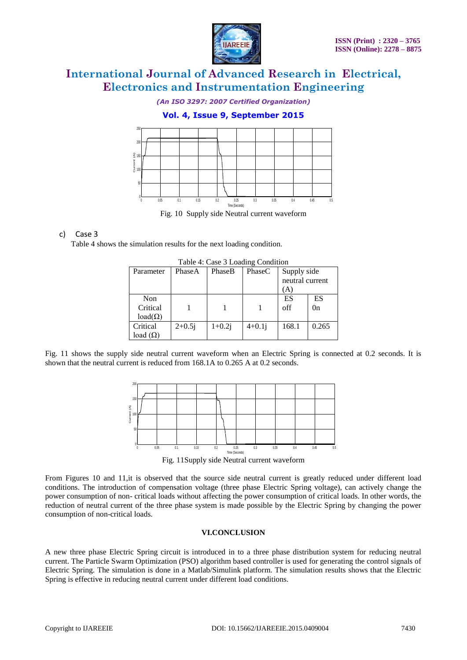

*(An ISO 3297: 2007 Certified Organization)*

### **Vol. 4, Issue 9, September 2015**



#### c) Case 3

Table 4 shows the simulation results for the next loading condition.

| Table 4. Case 3 Loading Condition |          |             |                 |       |  |  |
|-----------------------------------|----------|-------------|-----------------|-------|--|--|
| PhaseA                            | PhaseB   | PhaseC      | Supply side     |       |  |  |
|                                   |          |             | neutral current |       |  |  |
|                                   |          |             | (A)             |       |  |  |
|                                   |          |             | ES              | ES    |  |  |
|                                   |          |             | off             | 0n    |  |  |
|                                   |          |             |                 |       |  |  |
| $2+0.5j$                          | $1+0.2j$ | $4 + 0.1$ j | 168.1           | 0.265 |  |  |
|                                   |          |             |                 |       |  |  |
|                                   |          |             |                 |       |  |  |

Table 4: Case 3 Loading Condition

Fig. 11 shows the supply side neutral current waveform when an Electric Spring is connected at 0.2 seconds. It is shown that the neutral current is reduced from 168.1A to 0.265 A at 0.2 seconds.



Fig. 11Supply side Neutral current waveform

From Figures 10 and 11,it is observed that the source side neutral current is greatly reduced under different load conditions. The introduction of compensation voltage (three phase Electric Spring voltage), can actively change the power consumption of non- critical loads without affecting the power consumption of critical loads. In other words, the reduction of neutral current of the three phase system is made possible by the Electric Spring by changing the power consumption of non-critical loads.

#### **VI.CONCLUSION**

A new three phase Electric Spring circuit is introduced in to a three phase distribution system for reducing neutral current. The Particle Swarm Optimization (PSO) algorithm based controller is used for generating the control signals of Electric Spring. The simulation is done in a Matlab/Simulink platform. The simulation results shows that the Electric Spring is effective in reducing neutral current under different load conditions.